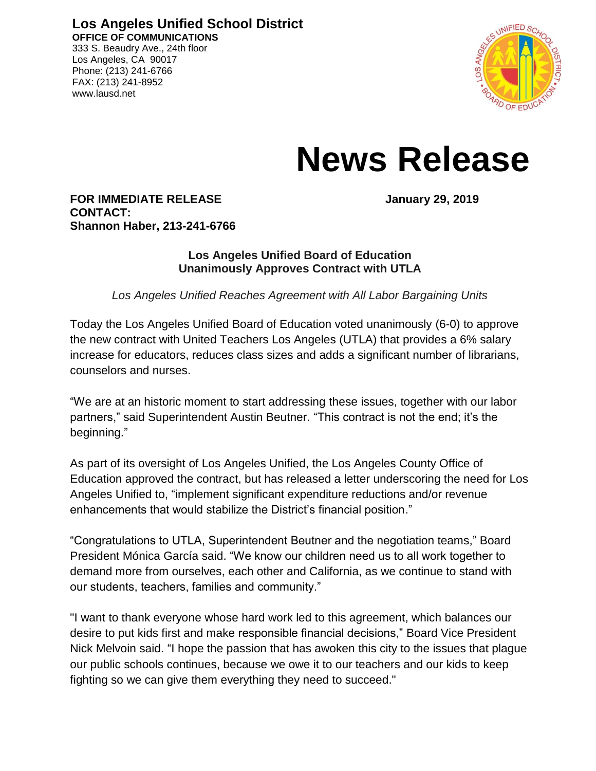**Los Angeles Unified School District OFFICE OF COMMUNICATIONS** 333 S. Beaudry Ave., 24th floor

Los Angeles, CA 90017 Phone: (213) 241-6766 FAX: (213) 241-8952 www.lausd.net



## **News Release**

**FOR IMMEDIATE RELEASE January 29, 2019 CONTACT: Shannon Haber, 213-241-6766**

## **Los Angeles Unified Board of Education Unanimously Approves Contract with UTLA**

*Los Angeles Unified Reaches Agreement with All Labor Bargaining Units* 

Today the Los Angeles Unified Board of Education voted unanimously (6-0) to approve the new contract with United Teachers Los Angeles (UTLA) that provides a 6% salary increase for educators, reduces class sizes and adds a significant number of librarians, counselors and nurses.

"We are at an historic moment to start addressing these issues, together with our labor partners," said Superintendent Austin Beutner. "This contract is not the end; it's the beginning."

As part of its oversight of Los Angeles Unified, the Los Angeles County Office of Education approved the contract, but has released a letter underscoring the need for Los Angeles Unified to, "implement significant expenditure reductions and/or revenue enhancements that would stabilize the District's financial position."

"Congratulations to UTLA, Superintendent Beutner and the negotiation teams," Board President Mónica García said. "We know our children need us to all work together to demand more from ourselves, each other and California, as we continue to stand with our students, teachers, families and community."

"I want to thank everyone whose hard work led to this agreement, which balances our desire to put kids first and make responsible financial decisions," Board Vice President Nick Melvoin said. "I hope the passion that has awoken this city to the issues that plague our public schools continues, because we owe it to our teachers and our kids to keep fighting so we can give them everything they need to succeed."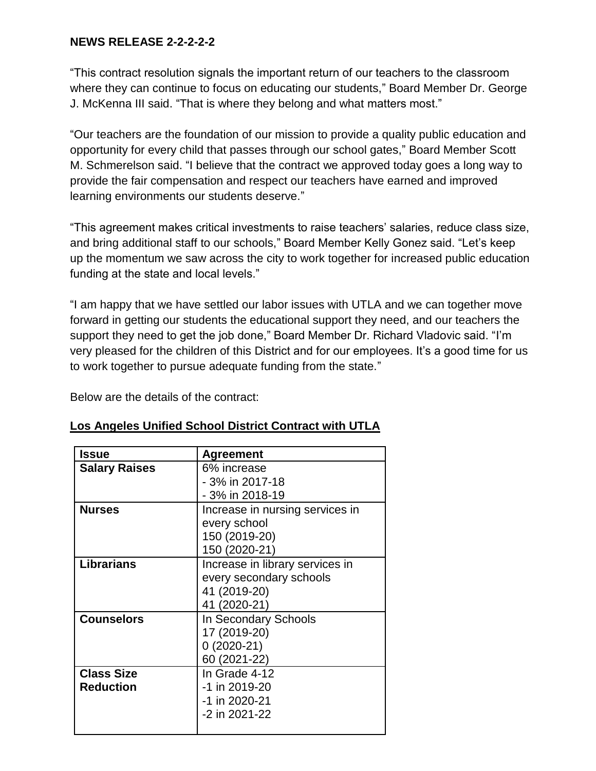## **NEWS RELEASE 2-2-2-2-2**

"This contract resolution signals the important return of our teachers to the classroom where they can continue to focus on educating our students," Board Member Dr. George J. McKenna III said. "That is where they belong and what matters most."

"Our teachers are the foundation of our mission to provide a quality public education and opportunity for every child that passes through our school gates," Board Member Scott M. Schmerelson said. "I believe that the contract we approved today goes a long way to provide the fair compensation and respect our teachers have earned and improved learning environments our students deserve."

"This agreement makes critical investments to raise teachers' salaries, reduce class size, and bring additional staff to our schools," Board Member Kelly Gonez said. "Let's keep up the momentum we saw across the city to work together for increased public education funding at the state and local levels."

"I am happy that we have settled our labor issues with UTLA and we can together move forward in getting our students the educational support they need, and our teachers the support they need to get the job done," Board Member Dr. Richard Vladovic said. "I'm very pleased for the children of this District and for our employees. It's a good time for us to work together to pursue adequate funding from the state."

Below are the details of the contract:

| Issue                | <b>Agreement</b>                |
|----------------------|---------------------------------|
| <b>Salary Raises</b> | 6% increase                     |
|                      | - 3% in 2017-18                 |
|                      | - 3% in 2018-19                 |
| <b>Nurses</b>        | Increase in nursing services in |
|                      | every school                    |
|                      | 150 (2019-20)                   |
|                      | 150 (2020-21)                   |
| <b>Librarians</b>    | Increase in library services in |
|                      | every secondary schools         |
|                      | 41 (2019-20)                    |
|                      | 41 (2020-21)                    |
| <b>Counselors</b>    | In Secondary Schools            |
|                      | 17 (2019-20)                    |
|                      | $0(2020-21)$                    |
|                      | 60 (2021-22)                    |
| <b>Class Size</b>    | In Grade 4-12                   |
| <b>Reduction</b>     | -1 in 2019-20                   |
|                      | -1 in 2020-21                   |
|                      | -2 in 2021-22                   |
|                      |                                 |

## **Los Angeles Unified School District Contract with UTLA**